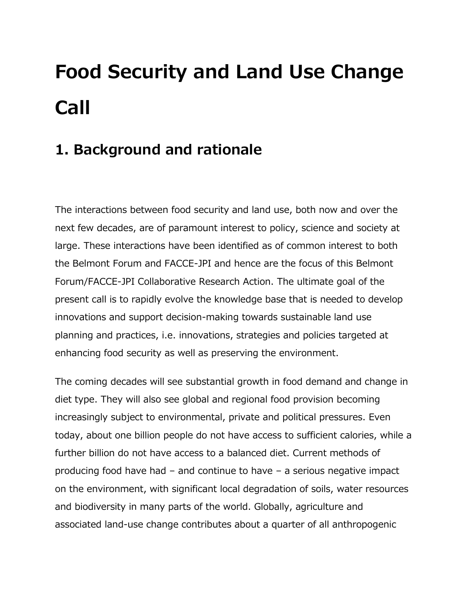# **Food Security and Land Use Change Call**

## **1. Background and rationale**

The interactions between food security and land use, both now and over the next few decades, are of paramount interest to policy, science and society at large. These interactions have been identified as of common interest to both the Belmont Forum and FACCE-JPI and hence are the focus of this Belmont Forum/FACCE-JPI Collaborative Research Action. The ultimate goal of the present call is to rapidly evolve the knowledge base that is needed to develop innovations and support decision-making towards sustainable land use planning and practices, i.e. innovations, strategies and policies targeted at enhancing food security as well as preserving the environment.

The coming decades will see substantial growth in food demand and change in diet type. They will also see global and regional food provision becoming increasingly subject to environmental, private and political pressures. Even today, about one billion people do not have access to sufficient calories, while a further billion do not have access to a balanced diet. Current methods of producing food have had – and continue to have – a serious negative impact on the environment, with significant local degradation of soils, water resources and biodiversity in many parts of the world. Globally, agriculture and associated land-use change contributes about a quarter of all anthropogenic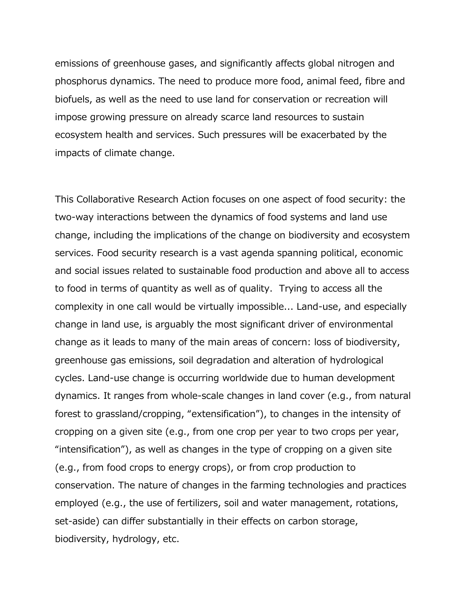emissions of greenhouse gases, and significantly affects global nitrogen and phosphorus dynamics. The need to produce more food, animal feed, fibre and biofuels, as well as the need to use land for conservation or recreation will impose growing pressure on already scarce land resources to sustain ecosystem health and services. Such pressures will be exacerbated by the impacts of climate change.

This Collaborative Research Action focuses on one aspect of food security: the two-way interactions between the dynamics of food systems and land use change, including the implications of the change on biodiversity and ecosystem services. Food security research is a vast agenda spanning political, economic and social issues related to sustainable food production and above all to access to food in terms of quantity as well as of quality. Trying to access all the complexity in one call would be virtually impossible... Land-use, and especially change in land use, is arguably the most significant driver of environmental change as it leads to many of the main areas of concern: loss of biodiversity, greenhouse gas emissions, soil degradation and alteration of hydrological cycles. Land-use change is occurring worldwide due to human development dynamics. It ranges from whole-scale changes in land cover (e.g., from natural forest to grassland/cropping, "extensification"), to changes in the intensity of cropping on a given site (e.g., from one crop per year to two crops per year, "intensification"), as well as changes in the type of cropping on a given site (e.g., from food crops to energy crops), or from crop production to conservation. The nature of changes in the farming technologies and practices employed (e.g., the use of fertilizers, soil and water management, rotations, set-aside) can differ substantially in their effects on carbon storage, biodiversity, hydrology, etc.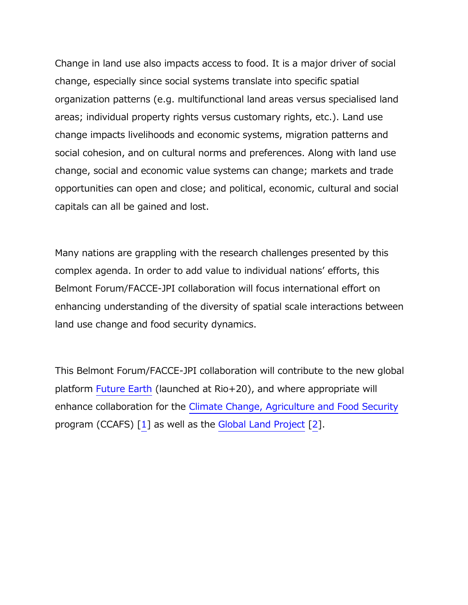Change in land use also impacts access to food. It is a major driver of social change, especially since social systems translate into specific spatial organization patterns (e.g. multifunctional land areas versus specialised land areas; individual property rights versus customary rights, etc.). Land use change impacts livelihoods and economic systems, migration patterns and social cohesion, and on cultural norms and preferences. Along with land use change, social and economic value systems can change; markets and trade opportunities can open and close; and political, economic, cultural and social capitals can all be gained and lost.

Many nations are grappling with the research challenges presented by this complex agenda. In order to add value to individual nations' efforts, this Belmont Forum/FACCE-JPI collaboration will focus international effort on enhancing understanding of the diversity of spatial scale interactions between land use change and food security dynamics.

This Belmont Forum/FACCE-JPI collaboration will contribute to the new global platform [Future Earth](http://www.icsu.org/future-earth) (launched at Rio+20), and where appropriate will enhance collaboration for the [Climate Change, Agriculture and Food Security](http://ccafs.cgiar.org/) program (CCAFS) [\[1\]](https://belmontforum.org/food-security-and-land-use-change-call#_ftn1) as well as the [Global Land Project](http://www.globallandproject.org/) [\[2\]](https://belmontforum.org/food-security-and-land-use-change-call#_ftn2).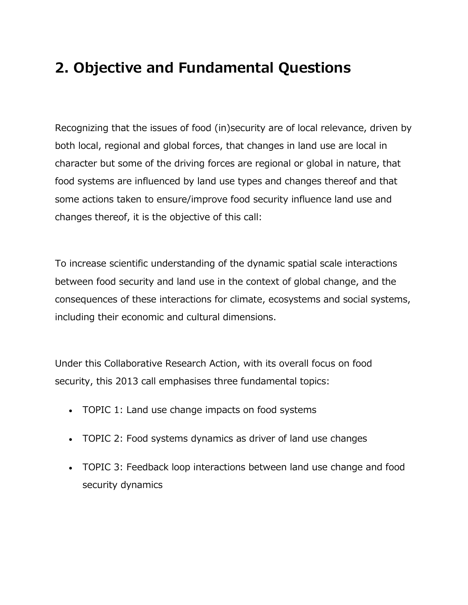# **2. Objective and Fundamental Questions**

Recognizing that the issues of food (in)security are of local relevance, driven by both local, regional and global forces, that changes in land use are local in character but some of the driving forces are regional or global in nature, that food systems are influenced by land use types and changes thereof and that some actions taken to ensure/improve food security influence land use and changes thereof, it is the objective of this call:

To increase scientific understanding of the dynamic spatial scale interactions between food security and land use in the context of global change, and the consequences of these interactions for climate, ecosystems and social systems, including their economic and cultural dimensions.

Under this Collaborative Research Action, with its overall focus on food security, this 2013 call emphasises three fundamental topics:

- TOPIC 1: Land use change impacts on food systems
- TOPIC 2: Food systems dynamics as driver of land use changes
- TOPIC 3: Feedback loop interactions between land use change and food security dynamics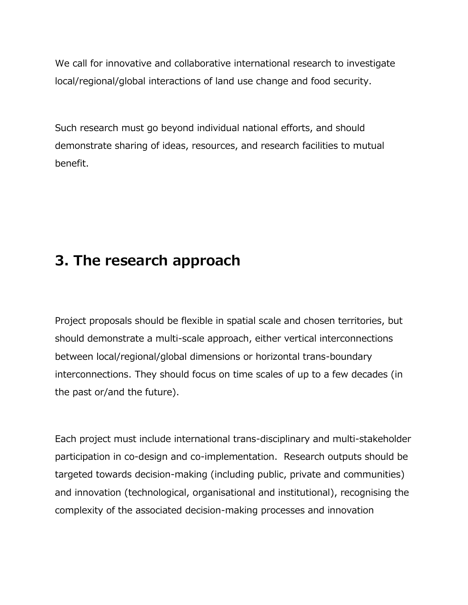We call for innovative and collaborative international research to investigate local/regional/global interactions of land use change and food security.

Such research must go beyond individual national efforts, and should demonstrate sharing of ideas, resources, and research facilities to mutual benefit.

#### **3. The research approach**

Project proposals should be flexible in spatial scale and chosen territories, but should demonstrate a multi-scale approach, either vertical interconnections between local/regional/global dimensions or horizontal trans-boundary interconnections. They should focus on time scales of up to a few decades (in the past or/and the future).

Each project must include international trans-disciplinary and multi-stakeholder participation in co-design and co-implementation. Research outputs should be targeted towards decision-making (including public, private and communities) and innovation (technological, organisational and institutional), recognising the complexity of the associated decision-making processes and innovation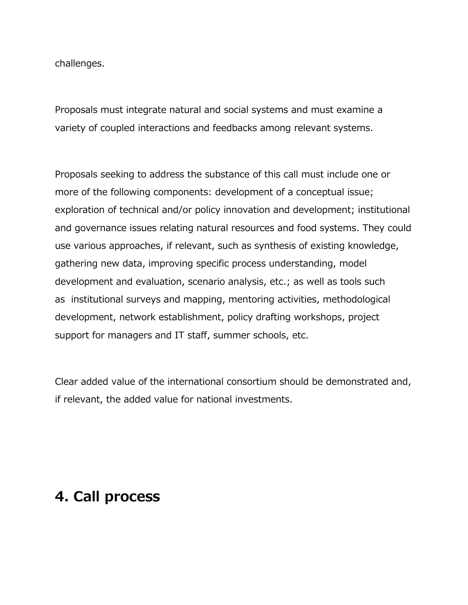challenges.

Proposals must integrate natural and social systems and must examine a variety of coupled interactions and feedbacks among relevant systems.

Proposals seeking to address the substance of this call must include one or more of the following components: development of a conceptual issue; exploration of technical and/or policy innovation and development; institutional and governance issues relating natural resources and food systems. They could use various approaches, if relevant, such as synthesis of existing knowledge, gathering new data, improving specific process understanding, model development and evaluation, scenario analysis, etc.; as well as tools such as institutional surveys and mapping, mentoring activities, methodological development, network establishment, policy drafting workshops, project support for managers and IT staff, summer schools, etc.

Clear added value of the international consortium should be demonstrated and, if relevant, the added value for national investments.

#### **4. Call process**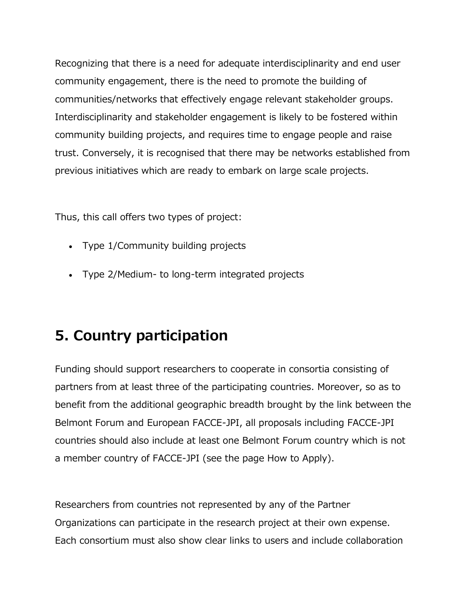Recognizing that there is a need for adequate interdisciplinarity and end user community engagement, there is the need to promote the building of communities/networks that effectively engage relevant stakeholder groups. Interdisciplinarity and stakeholder engagement is likely to be fostered within community building projects, and requires time to engage people and raise trust. Conversely, it is recognised that there may be networks established from previous initiatives which are ready to embark on large scale projects.

Thus, this call offers two types of project:

- Type 1/Community building projects
- Type 2/Medium- to long-term integrated projects

### **5. Country participation**

Funding should support researchers to cooperate in consortia consisting of partners from at least three of the participating countries. Moreover, so as to benefit from the additional geographic breadth brought by the link between the Belmont Forum and European FACCE-JPI, all proposals including FACCE-JPI countries should also include at least one Belmont Forum country which is not a member country of FACCE-JPI (see the page How to Apply).

Researchers from countries not represented by any of the Partner Organizations can participate in the research project at their own expense. Each consortium must also show clear links to users and include collaboration